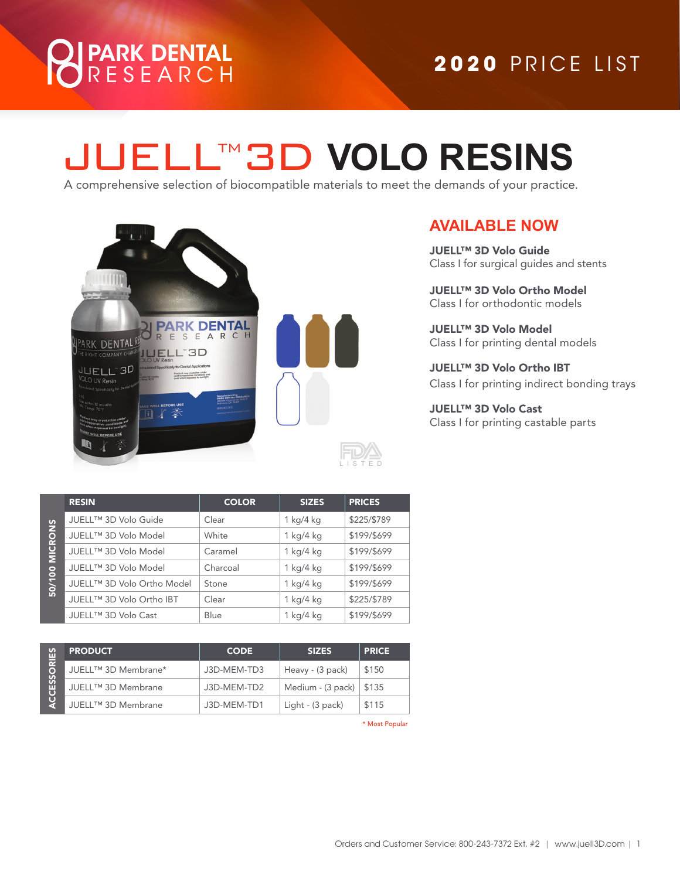# PARK DENTAL<br>R E S E A R C H

### **2020** PRICE LIST **2020** PRICE LIST

## LTM3D VOLO RESINS

A comprehensive selection of biocompatible materials to meet the demands of your practice.



#### **AVAILABLE NOW**

JUELL™ 3D Volo Guide Class I for surgical guides and stents

JUELL™ 3D Volo Ortho Model Class I for orthodontic models

JUELL™ 3D Volo Model Class I for printing dental models

JUELL™ 3D Volo Ortho IBT Class I for printing indirect bonding trays

JUELL™ 3D Volo Cast Class I for printing castable parts

|                | <b>RESIN</b>               | <b>COLOR</b> | <b>SIZES</b> | <b>PRICES</b> |
|----------------|----------------------------|--------------|--------------|---------------|
| 50/100 MICRONS | JUELL™ 3D Volo Guide       | Clear        | 1 kg/4 kg    | \$225/\$789   |
|                | JUELL™ 3D Volo Model       | White        | 1 kg/4 kg    | \$199/\$699   |
|                | JUELL™ 3D Volo Model       | Caramel      | 1 kg/4 kg    | \$199/\$699   |
|                | JUELL™ 3D Volo Model       | Charcoal     | 1 kg/4 kg    | \$199/\$699   |
|                | JUELL™ 3D Volo Ortho Model | Stone        | 1 kg/4 kg    | \$199/\$699   |
|                | JUELL™ 3D Volo Ortho IBT   | Clear        | 1 kg/4 kg    | \$225/\$789   |
|                | JUELL™ 3D Volo Cast        | Blue         | 1 kg/4 kg    | \$199/\$699   |

| လှူ          | <b>PRODUCT</b>      | <b>CODE</b> | <b>SIZES</b>                | <b>PRICE</b> |
|--------------|---------------------|-------------|-----------------------------|--------------|
| ESSORI<br>មូ | JUELL™ 3D Membrane* | J3D-MEM-TD3 | Heavy - (3 pack)            | \$150        |
|              | JUELL™ 3D Membrane  | J3D-MEM-TD2 | Medium - $(3$ pack) $\vert$ | \$135        |
|              | JUELL™ 3D Membrane  | J3D-MEM-TD1 | Light - (3 pack)            | \$115        |

\* Most Popular